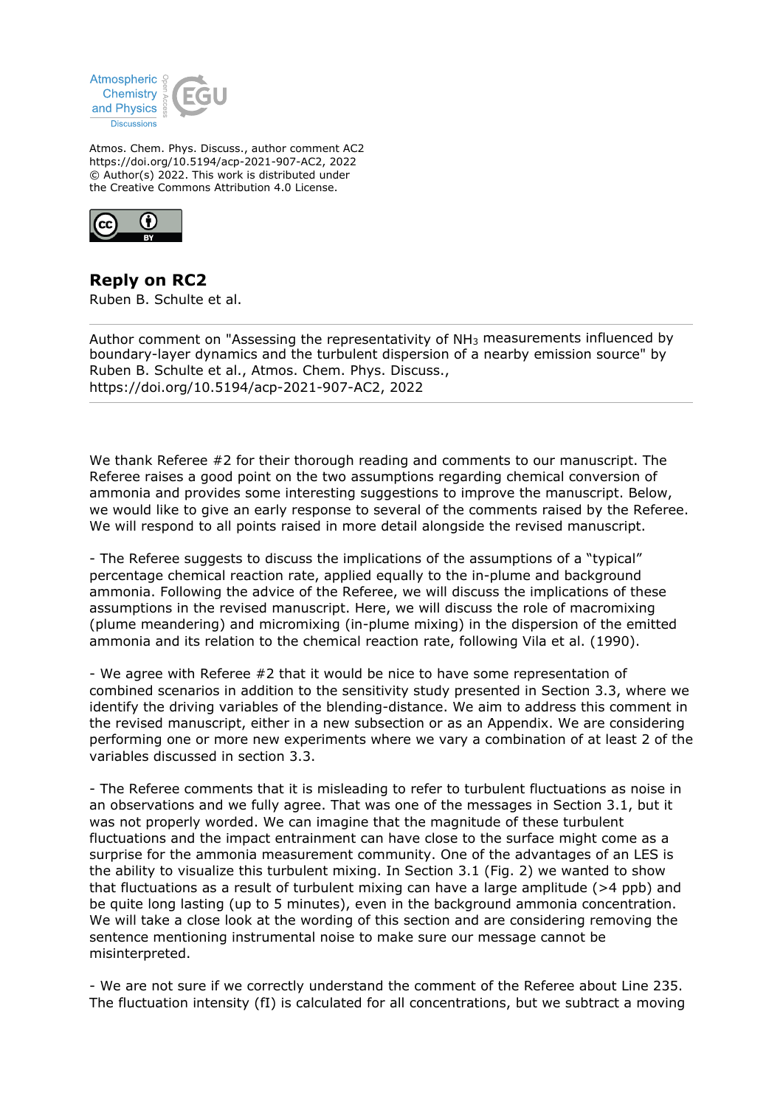

Atmos. Chem. Phys. Discuss., author comment AC2 https://doi.org/10.5194/acp-2021-907-AC2, 2022 © Author(s) 2022. This work is distributed under the Creative Commons Attribution 4.0 License.



**Reply on RC2** Ruben B. Schulte et al.

Author comment on "Assessing the representativity of  $NH<sub>3</sub>$  measurements influenced by boundary-layer dynamics and the turbulent dispersion of a nearby emission source" by Ruben B. Schulte et al., Atmos. Chem. Phys. Discuss., https://doi.org/10.5194/acp-2021-907-AC2, 2022

We thank Referee #2 for their thorough reading and comments to our manuscript. The Referee raises a good point on the two assumptions regarding chemical conversion of ammonia and provides some interesting suggestions to improve the manuscript. Below, we would like to give an early response to several of the comments raised by the Referee. We will respond to all points raised in more detail alongside the revised manuscript.

- The Referee suggests to discuss the implications of the assumptions of a "typical" percentage chemical reaction rate, applied equally to the in-plume and background ammonia. Following the advice of the Referee, we will discuss the implications of these assumptions in the revised manuscript. Here, we will discuss the role of macromixing (plume meandering) and micromixing (in-plume mixing) in the dispersion of the emitted ammonia and its relation to the chemical reaction rate, following Vila et al. (1990).

- We agree with Referee #2 that it would be nice to have some representation of combined scenarios in addition to the sensitivity study presented in Section 3.3, where we identify the driving variables of the blending-distance. We aim to address this comment in the revised manuscript, either in a new subsection or as an Appendix. We are considering performing one or more new experiments where we vary a combination of at least 2 of the variables discussed in section 3.3.

- The Referee comments that it is misleading to refer to turbulent fluctuations as noise in an observations and we fully agree. That was one of the messages in Section 3.1, but it was not properly worded. We can imagine that the magnitude of these turbulent fluctuations and the impact entrainment can have close to the surface might come as a surprise for the ammonia measurement community. One of the advantages of an LES is the ability to visualize this turbulent mixing. In Section 3.1 (Fig. 2) we wanted to show that fluctuations as a result of turbulent mixing can have a large amplitude (>4 ppb) and be quite long lasting (up to 5 minutes), even in the background ammonia concentration. We will take a close look at the wording of this section and are considering removing the sentence mentioning instrumental noise to make sure our message cannot be misinterpreted.

- We are not sure if we correctly understand the comment of the Referee about Line 235. The fluctuation intensity (fI) is calculated for all concentrations, but we subtract a moving